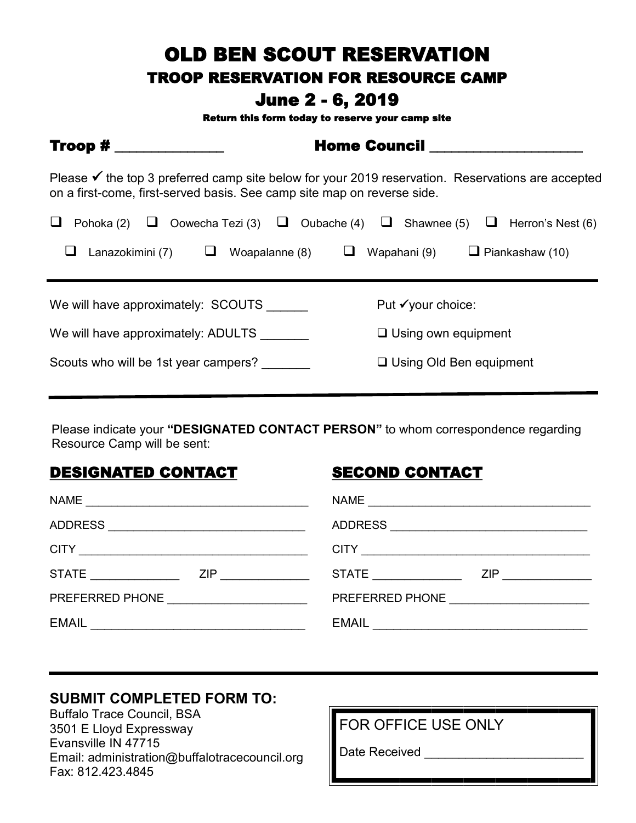## OLD BEN SCOUT RESERVATION

#### TROOP RESERVATION FOR RESOURCE CAMP

### June 2 - 6, 2019

Return this form today to reserve your camp site

| $Troop #$                                                                                                                                                                               | <b>Home Council Exercise Service Service Service Service Service Service Service Service Service Service Service</b> |  |  |  |
|-----------------------------------------------------------------------------------------------------------------------------------------------------------------------------------------|----------------------------------------------------------------------------------------------------------------------|--|--|--|
| Please $\checkmark$ the top 3 preferred camp site below for your 2019 reservation. Reservations are accepted<br>on a first-come, first-served basis. See camp site map on reverse side. |                                                                                                                      |  |  |  |
| Pohoka (2) $\Box$ Oowecha Tezi (3) $\Box$ Oubache (4) $\Box$ Shawnee (5) $\Box$ Herron's Nest (6)                                                                                       |                                                                                                                      |  |  |  |
| Lanazokimini (7)<br>Woapalanne (8)<br>⊔                                                                                                                                                 | $\Box$ Piankashaw (10)<br>Wapahani (9)                                                                               |  |  |  |
| We will have approximately: SCOUTS                                                                                                                                                      | Put $\checkmark$ your choice:                                                                                        |  |  |  |
| We will have approximately: ADULTS                                                                                                                                                      | $\Box$ Using own equipment                                                                                           |  |  |  |
| Scouts who will be 1st year campers?                                                                                                                                                    | $\Box$ Using Old Ben equipment                                                                                       |  |  |  |

Please indicate your **"DESIGNATED CONTACT PERSON"** to whom correspondence regarding Resource Camp will be sent:

#### DESIGNATED CONTACT

#### SECOND CONTACT

| <b>NAME</b>                                                                                                    | NAME                                   |
|----------------------------------------------------------------------------------------------------------------|----------------------------------------|
|                                                                                                                |                                        |
|                                                                                                                |                                        |
| ZIP <b>Example 20</b>                                                                                          | STATE _______________                  |
| PREFERRED PHONE THE RESERVE THE RESERVE THAT A RESERVE THAT A RESERVE THAT A RESERVE THAT A RESERVE THAT A RES | PREFERRED PHONE ______________________ |
|                                                                                                                |                                        |

#### **SUBMIT COMPLETED FORM TO:**

Buffalo Trace Council, BSA 3501 E Lloyd Expressway Evansville IN 47715 Email: administration@buffalotracecouncil.org Fax: 812.423.4845

FOR OFFICE USE ONLY

Date Received \_\_\_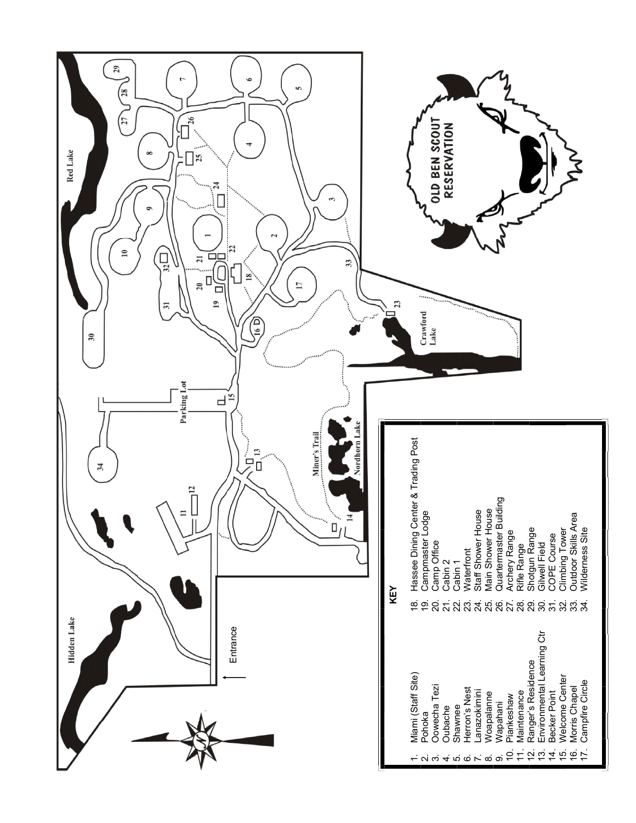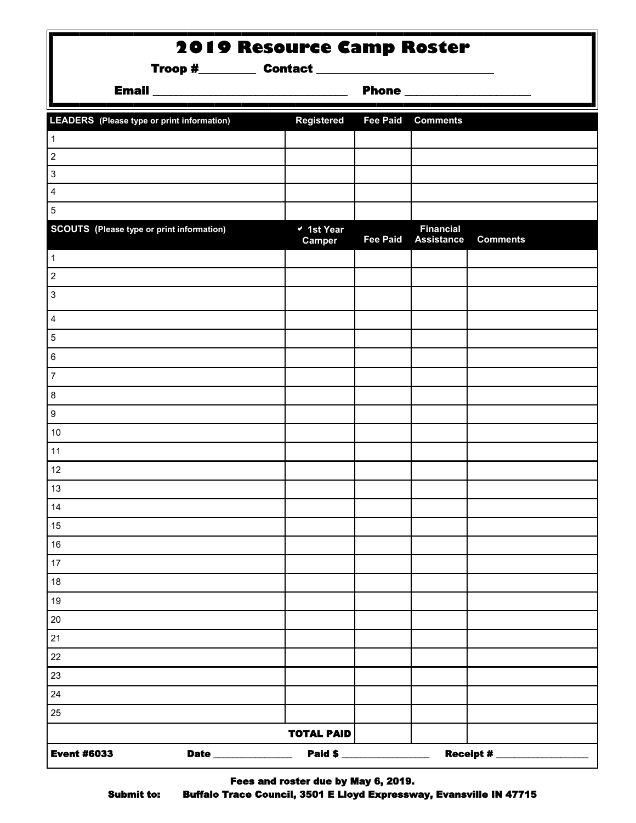| <b>2019 Resource Camp Roster</b>                  |                      |                 |                                       |                                      |
|---------------------------------------------------|----------------------|-----------------|---------------------------------------|--------------------------------------|
|                                                   |                      |                 |                                       |                                      |
| <b>LEADERS</b> (Please type or print information) | <b>Registered</b>    |                 | <b>Fee Paid Comments</b>              |                                      |
| $\mathbf{1}$                                      |                      |                 |                                       |                                      |
| 2                                                 |                      |                 |                                       |                                      |
| 3                                                 |                      |                 |                                       |                                      |
| 4                                                 |                      |                 |                                       |                                      |
| 5                                                 |                      |                 |                                       |                                      |
| <b>SCOUTS</b> (Please type or print information)  | v 1st Year<br>Camper | <b>Fee Paid</b> | <b>Financial</b><br><b>Assistance</b> | <b>Comments</b>                      |
| $\mathbf{1}$                                      |                      |                 |                                       |                                      |
| 2                                                 |                      |                 |                                       |                                      |
| 3                                                 |                      |                 |                                       |                                      |
| 4                                                 |                      |                 |                                       |                                      |
| 5                                                 |                      |                 |                                       |                                      |
| 6                                                 |                      |                 |                                       |                                      |
| 7                                                 |                      |                 |                                       |                                      |
| 8                                                 |                      |                 |                                       |                                      |
| 9                                                 |                      |                 |                                       |                                      |
| 10                                                |                      |                 |                                       |                                      |
| 11                                                |                      |                 |                                       |                                      |
| 12                                                |                      |                 |                                       |                                      |
| 13                                                |                      |                 |                                       |                                      |
| 14                                                |                      |                 |                                       |                                      |
| 15                                                |                      |                 |                                       |                                      |
| 16                                                |                      |                 |                                       |                                      |
| 17                                                |                      |                 |                                       |                                      |
| $18\,$                                            |                      |                 |                                       |                                      |
| 19                                                |                      |                 |                                       |                                      |
| 20                                                |                      |                 |                                       |                                      |
| 21                                                |                      |                 |                                       |                                      |
| 22                                                |                      |                 |                                       |                                      |
| 23                                                |                      |                 |                                       |                                      |
| 24                                                |                      |                 |                                       |                                      |
| 25                                                |                      |                 |                                       |                                      |
|                                                   | <b>TOTAL PAID</b>    |                 |                                       |                                      |
| <b>Event #6033</b><br><b>Date</b> ______________  |                      | Paid \$         |                                       | <b>Receipt #</b> ___________________ |

Fees and roster due by May 6, 2019. Submit to: Buffalo Trace Council, 3501 E Lloyd Expressway, Evansville IN 47715

ī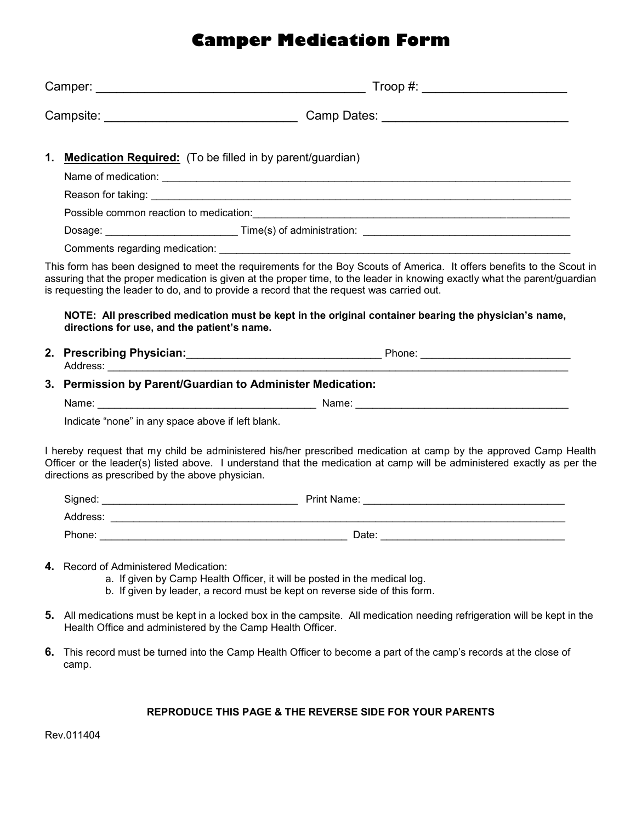## **Camper Medication Form**

|    | $\begin{picture}(150,10) \put(0,0){\line(1,0){10}} \put(15,0){\line(1,0){10}} \put(15,0){\line(1,0){10}} \put(15,0){\line(1,0){10}} \put(15,0){\line(1,0){10}} \put(15,0){\line(1,0){10}} \put(15,0){\line(1,0){10}} \put(15,0){\line(1,0){10}} \put(15,0){\line(1,0){10}} \put(15,0){\line(1,0){10}} \put(15,0){\line(1,0){10}} \put(15,0){\line($ |  |  |  |  |
|----|-----------------------------------------------------------------------------------------------------------------------------------------------------------------------------------------------------------------------------------------------------------------------------------------------------------------------------------------------------|--|--|--|--|
|    |                                                                                                                                                                                                                                                                                                                                                     |  |  |  |  |
| 1. | <b>Medication Required:</b> (To be filled in by parent/guardian)                                                                                                                                                                                                                                                                                    |  |  |  |  |
|    |                                                                                                                                                                                                                                                                                                                                                     |  |  |  |  |
|    |                                                                                                                                                                                                                                                                                                                                                     |  |  |  |  |
|    |                                                                                                                                                                                                                                                                                                                                                     |  |  |  |  |
|    |                                                                                                                                                                                                                                                                                                                                                     |  |  |  |  |
|    |                                                                                                                                                                                                                                                                                                                                                     |  |  |  |  |
|    | This form has been designed to meet the requirements for the Boy Scouts of America. It offers benefits to the Scout in<br>assuring that the proper medication is given at the proper time, to the leader in knowing exactly what the parent/guardian<br>is requesting the leader to do, and to provide a record that the request was carried out.   |  |  |  |  |
|    | NOTE: All prescribed medication must be kept in the original container bearing the physician's name,<br>directions for use, and the patient's name.                                                                                                                                                                                                 |  |  |  |  |
|    |                                                                                                                                                                                                                                                                                                                                                     |  |  |  |  |
|    | 3. Permission by Parent/Guardian to Administer Medication:                                                                                                                                                                                                                                                                                          |  |  |  |  |
|    | Name: Name: Name: Name: Name: Name: Name: Name: Name: Name: Name: Name: Name: Name: Name: Name: Name: Name: Name: Name: Name: Name: Name: Name: Name: Name: Name: Name: Name: Name: Name: Name: Name: Name: Name: Name: Name:                                                                                                                       |  |  |  |  |
|    | Indicate "none" in any space above if left blank.                                                                                                                                                                                                                                                                                                   |  |  |  |  |
|    | I hereby request that my child be administered his/her prescribed medication at camp by the approved Camp Health<br>Officer or the leader(s) listed above. I understand that the medication at camp will be administered exactly as per the<br>directions as prescribed by the above physician.                                                     |  |  |  |  |
|    |                                                                                                                                                                                                                                                                                                                                                     |  |  |  |  |
|    |                                                                                                                                                                                                                                                                                                                                                     |  |  |  |  |
|    |                                                                                                                                                                                                                                                                                                                                                     |  |  |  |  |
|    | 4. Record of Administered Medication:<br>a. If given by Camp Health Officer, it will be posted in the medical log.<br>b. If given by leader, a record must be kept on reverse side of this form.                                                                                                                                                    |  |  |  |  |
| 5. | All medications must be kept in a locked box in the campsite. All medication needing refrigeration will be kept in the<br>Health Office and administered by the Camp Health Officer.                                                                                                                                                                |  |  |  |  |
| 6. | This record must be turned into the Camp Health Officer to become a part of the camp's records at the close of<br>camp.                                                                                                                                                                                                                             |  |  |  |  |

#### **REPRODUCE THIS PAGE & THE REVERSE SIDE FOR YOUR PARENTS**

Rev.011404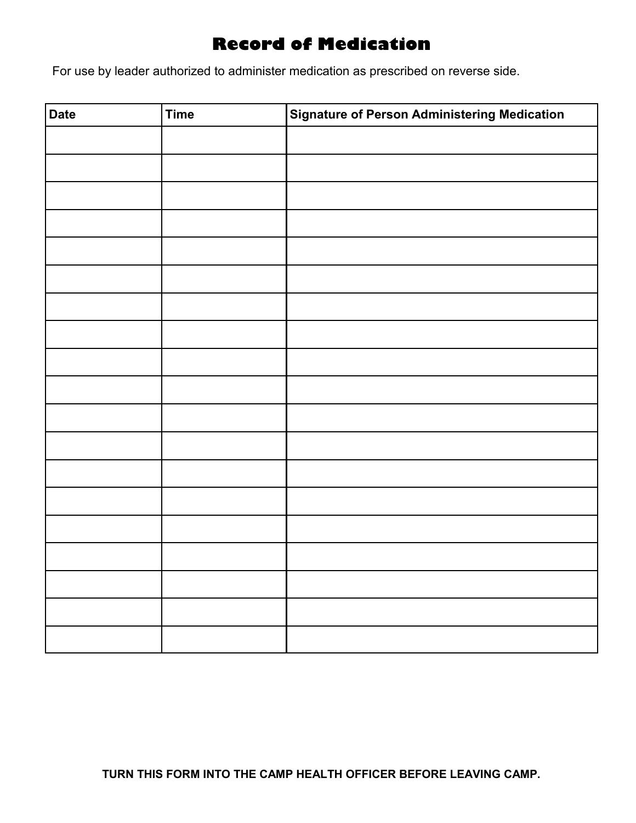### **Record of Medication**

For use by leader authorized to administer medication as prescribed on reverse side.

| <b>Date</b> | <b>Time</b> | <b>Signature of Person Administering Medication</b> |
|-------------|-------------|-----------------------------------------------------|
|             |             |                                                     |
|             |             |                                                     |
|             |             |                                                     |
|             |             |                                                     |
|             |             |                                                     |
|             |             |                                                     |
|             |             |                                                     |
|             |             |                                                     |
|             |             |                                                     |
|             |             |                                                     |
|             |             |                                                     |
|             |             |                                                     |
|             |             |                                                     |
|             |             |                                                     |
|             |             |                                                     |
|             |             |                                                     |
|             |             |                                                     |
|             |             |                                                     |
|             |             |                                                     |
|             |             |                                                     |